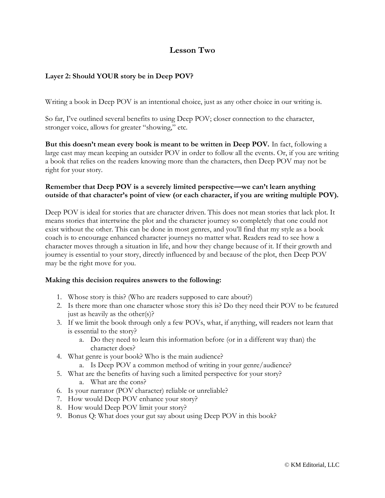# **Lesson Two**

## **Layer 2: Should YOUR story be in Deep POV?**

Writing a book in Deep POV is an intentional choice, just as any other choice in our writing is.

So far, I've outlined several benefits to using Deep POV; closer connection to the character, stronger voice, allows for greater "showing," etc.

**But this doesn't mean every book is meant to be written in Deep POV.** In fact, following a large cast may mean keeping an outsider POV in order to follow all the events. Or, if you are writing a book that relies on the readers knowing more than the characters, then Deep POV may not be right for your story.

### **Remember that Deep POV is a severely limited perspective—we can't learn anything outside of that character's point of view (or each character, if you are writing multiple POV).**

Deep POV is ideal for stories that are character driven. This does not mean stories that lack plot. It means stories that intertwine the plot and the character journey so completely that one could not exist without the other. This can be done in most genres, and you'll find that my style as a book coach is to encourage enhanced character journeys no matter what. Readers read to see how a character moves through a situation in life, and how they change because of it. If their growth and journey is essential to your story, directly influenced by and because of the plot, then Deep POV may be the right move for you.

#### **Making this decision requires answers to the following:**

- 1. Whose story is this? (Who are readers supposed to care about?)
- 2. Is there more than one character whose story this is? Do they need their POV to be featured just as heavily as the other(s)?
- 3. If we limit the book through only a few POVs, what, if anything, will readers not learn that is essential to the story?
	- a. Do they need to learn this information before (or in a different way than) the character does?
- 4. What genre is your book? Who is the main audience?
	- a. Is Deep POV a common method of writing in your genre/audience?
- 5. What are the benefits of having such a limited perspective for your story? a. What are the cons?
- 6. Is your narrator (POV character) reliable or unreliable?
- 7. How would Deep POV enhance your story?
- 8. How would Deep POV limit your story?
- 9. Bonus Q: What does your gut say about using Deep POV in this book?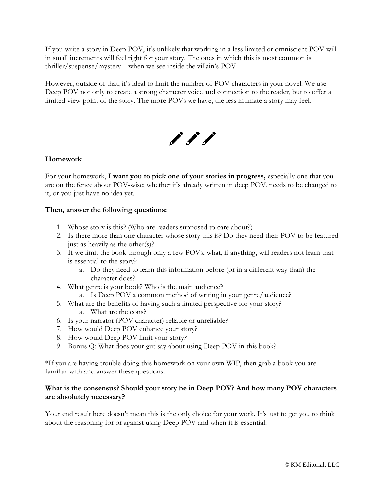If you write a story in Deep POV, it's unlikely that working in a less limited or omniscient POV will in small increments will feel right for your story. The ones in which this is most common is thriller/suspense/mystery—when we see inside the villain's POV.

However, outside of that, it's ideal to limit the number of POV characters in your novel. We use Deep POV not only to create a strong character voice and connection to the reader, but to offer a limited view point of the story. The more POVs we have, the less intimate a story may feel.



## **Homework**

For your homework, **I want you to pick one of your stories in progress,** especially one that you are on the fence about POV-wise; whether it's already written in deep POV, needs to be changed to it, or you just have no idea yet.

#### **Then, answer the following questions:**

- 1. Whose story is this? (Who are readers supposed to care about?)
- 2. Is there more than one character whose story this is? Do they need their POV to be featured just as heavily as the other(s)?
- 3. If we limit the book through only a few POVs, what, if anything, will readers not learn that is essential to the story?
	- a. Do they need to learn this information before (or in a different way than) the character does?
- 4. What genre is your book? Who is the main audience?
	- a. Is Deep POV a common method of writing in your genre/audience?
- 5. What are the benefits of having such a limited perspective for your story?
	- a. What are the cons?
- 6. Is your narrator (POV character) reliable or unreliable?
- 7. How would Deep POV enhance your story?
- 8. How would Deep POV limit your story?
- 9. Bonus Q: What does your gut say about using Deep POV in this book?

\*If you are having trouble doing this homework on your own WIP, then grab a book you are familiar with and answer these questions.

#### **What is the consensus? Should your story be in Deep POV? And how many POV characters are absolutely necessary?**

Your end result here doesn't mean this is the only choice for your work. It's just to get you to think about the reasoning for or against using Deep POV and when it is essential.